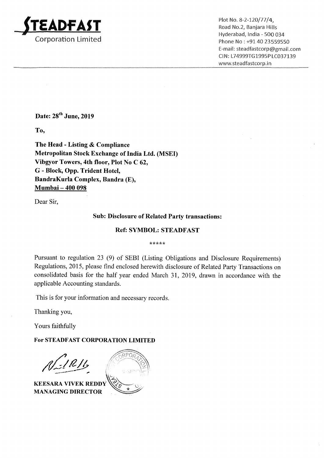

 $\Delta$ DFAST Road No. 8-2-120/77/4, Hyderabad, India <sup>~</sup> 500 034 E—mail: steadfastcorp@gmail.com Cl N: L74999T61995P LC037139 www.5teadfastcorp.in

Date: 28<sup>th</sup> June, 2019

To,

The Head - Listing & Compliance Metropolitan Stock Exchange of India Ltd. (MSEI) Vibgyor Towers, 4th floor, Plot No C 62, G — Block, Opp. Trident Hotel, BandraKurla Complex, Bandra (E), Mumbai -- 400 098

Dear Sir,

#### Sub: Disclosure of Related Party transactions:

### Ref: SYMBOL: STEADFAST

\*wkv'n'n':

Pursuant to regulation <sup>23</sup> (9) of SEBI (Listing Obligations and Disclosure Requirements) Regulations, 2015, please find enclosed herewith disclosure of Related Party Transactions on consolidated basis for the half year ended March 31, 2019, drawn in accordance with the applicable Accounting standards.

This is for your information and necessary records.

Thanking you,

Yours faithfully

For STEADFAST CORPORATION LIMITED

EL RIG

**KEESARA VIVEK REDD** MANAGING DIRECTOR